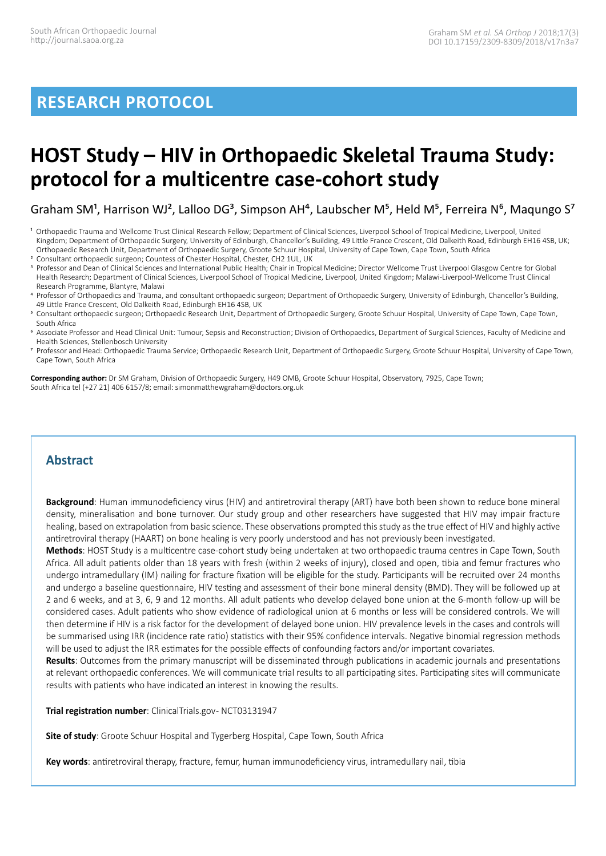## **RESEARCH PROTOCOL**

# **HOST Study – HIV in Orthopaedic Skeletal Trauma Study: protocol for a multicentre case-cohort study**

Graham SM<sup>1</sup>, Harrison WJ<sup>2</sup>, Lalloo DG<sup>3</sup>, Simpson AH<sup>4</sup>, Laubscher M<sup>5</sup>, Held M<sup>5</sup>, Ferreira N<sup>6</sup>, Maqungo S<sup>7</sup>

- <sup>1</sup> Orthopaedic Trauma and Wellcome Trust Clinical Research Fellow; Department of Clinical Sciences, Liverpool School of Tropical Medicine, Liverpool, United Kingdom; Department of Orthopaedic Surgery, University of Edinburgh, Chancellor's Building, 49 Little France Crescent, Old Dalkeith Road, Edinburgh EH16 4SB, UK; Orthopaedic Research Unit, Department of Orthopaedic Surgery, Groote Schuur Hospital, University of Cape Town, Cape Town, South Africa
- 2 Consultant orthopaedic surgeon; Countess of Chester Hospital, Chester, CH2 1UL, UK
- 3 Professor and Dean of Clinical Sciences and International Public Health; Chair in Tropical Medicine; Director Wellcome Trust Liverpool Glasgow Centre for Global Health Research; Department of Clinical Sciences, Liverpool School of Tropical Medicine, Liverpool, United Kingdom; Malawi-Liverpool-Wellcome Trust Clinical Research Programme, Blantyre, Malawi
- 4 Professor of Orthopaedics and Trauma, and consultant orthopaedic surgeon; Department of Orthopaedic Surgery, University of Edinburgh, Chancellor's Building, 49 Little France Crescent, Old Dalkeith Road, Edinburgh EH16 4SB, UK
- 5 Consultant orthopaedic surgeon; Orthopaedic Research Unit, Department of Orthopaedic Surgery, Groote Schuur Hospital, University of Cape Town, Cape Town, South Africa
- 6 Associate Professor and Head Clinical Unit: Tumour, Sepsis and Reconstruction; Division of Orthopaedics, Department of Surgical Sciences, Faculty of Medicine and Health Sciences, Stellenbosch University
- 7 Professor and Head: Orthopaedic Trauma Service; Orthopaedic Research Unit, Department of Orthopaedic Surgery, Groote Schuur Hospital, University of Cape Town, Cape Town, South Africa

**Corresponding author:** Dr SM Graham, Division of Orthopaedic Surgery, H49 OMB, Groote Schuur Hospital, Observatory, 7925, Cape Town; South Africa tel (+27 21) 406 6157/8; email: simonmatthewgraham@doctors.org.uk

## **Abstract**

**Background**: Human immunodeficiency virus (HIV) and antiretroviral therapy (ART) have both been shown to reduce bone mineral density, mineralisation and bone turnover. Our study group and other researchers have suggested that HIV may impair fracture healing, based on extrapolation from basic science. These observations prompted this study as the true effect of HIV and highly active antiretroviral therapy (HAART) on bone healing is very poorly understood and has not previously been investigated.

**Methods**: HOST Study is a multicentre case-cohort study being undertaken at two orthopaedic trauma centres in Cape Town, South Africa. All adult patients older than 18 years with fresh (within 2 weeks of injury), closed and open, tibia and femur fractures who undergo intramedullary (IM) nailing for fracture fixation will be eligible for the study. Participants will be recruited over 24 months and undergo a baseline questionnaire, HIV testing and assessment of their bone mineral density (BMD). They will be followed up at 2 and 6 weeks, and at 3, 6, 9 and 12 months. All adult patients who develop delayed bone union at the 6-month follow-up will be considered cases. Adult patients who show evidence of radiological union at 6 months or less will be considered controls. We will then determine if HIV is a risk factor for the development of delayed bone union. HIV prevalence levels in the cases and controls will be summarised using IRR (incidence rate ratio) statistics with their 95% confidence intervals. Negative binomial regression methods will be used to adjust the IRR estimates for the possible effects of confounding factors and/or important covariates.

**Results**: Outcomes from the primary manuscript will be disseminated through publications in academic journals and presentations at relevant orthopaedic conferences. We will communicate trial results to all participating sites. Participating sites will communicate results with patients who have indicated an interest in knowing the results.

**Trial registration number**: ClinicalTrials.gov-NCT03131947

**Site of study**: Groote Schuur Hospital and Tygerberg Hospital, Cape Town, South Africa

**Key words**: antiretroviral therapy, fracture, femur, human immunodeficiency virus, intramedullary nail, tibia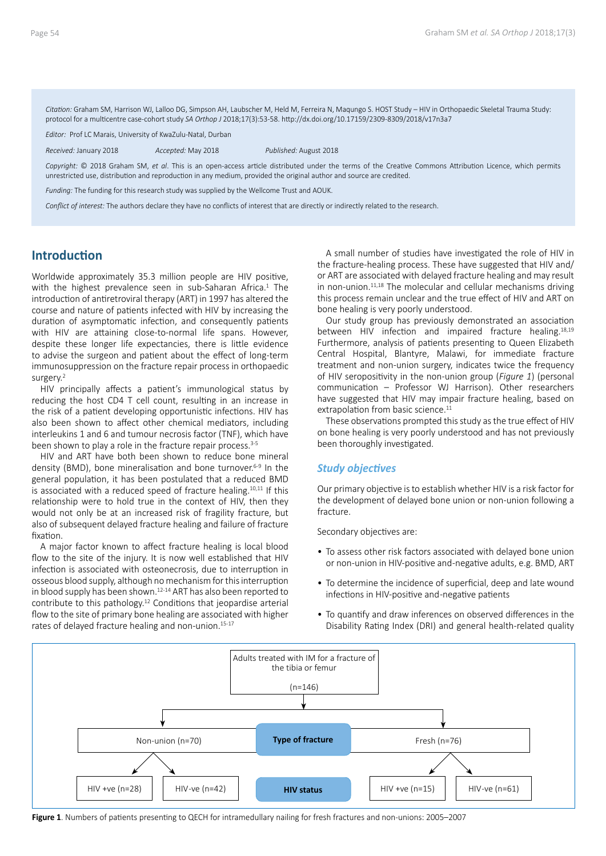*Citation:* Graham SM, Harrison WJ, Lalloo DG, Simpson AH, Laubscher M, Held M, Ferreira N, Maqungo S. HOST Study – HIV in Orthopaedic Skeletal Trauma Study: protocol for a multicentre case-cohort study *SA Orthop J* 2018;17(3):53-58. http://dx.doi.org/10.17159/2309-8309/2018/v17n3a7

*Editor:* Prof LC Marais, University of KwaZulu-Natal, Durban

*Received:* January 2018 *Accepted:* May 2018 *Published:* August 2018

*Copyright:* © 2018 Graham SM, *et al*. This is an open-access article distributed under the terms of the Creative Commons Attribution Licence, which permits unrestricted use, distribution and reproduction in any medium, provided the original author and source are credited.

*Funding:* The funding for this research study was supplied by the Wellcome Trust and AOUK.

*Conflict of interest:* The authors declare they have no conflicts of interest that are directly or indirectly related to the research.

### **Introduction**

Worldwide approximately 35.3 million people are HIV positive, with the highest prevalence seen in sub-Saharan Africa.<sup>1</sup> The introduction of antiretroviral therapy (ART) in 1997 has altered the course and nature of patients infected with HIV by increasing the duration of asymptomatic infection, and consequently patients with HIV are attaining close-to-normal life spans. However, despite these longer life expectancies, there is little evidence to advise the surgeon and patient about the effect of long-term immunosuppression on the fracture repair process in orthopaedic surgery.<sup>2</sup>

HIV principally affects a patient's immunological status by reducing the host CD4 T cell count, resulting in an increase in the risk of a patient developing opportunistic infections. HIV has also been shown to affect other chemical mediators, including interleukins 1 and 6 and tumour necrosis factor (TNF), which have been shown to play a role in the fracture repair process.<sup>3-5</sup>

HIV and ART have both been shown to reduce bone mineral density (BMD), bone mineralisation and bone turnover.6-9 In the general population, it has been postulated that a reduced BMD is associated with a reduced speed of fracture healing.<sup>10,11</sup> If this relationship were to hold true in the context of HIV, then they would not only be at an increased risk of fragility fracture, but also of subsequent delayed fracture healing and failure of fracture fixation.

A major factor known to affect fracture healing is local blood flow to the site of the injury. It is now well established that HIV infection is associated with osteonecrosis, due to interruption in osseous blood supply, although no mechanism for this interruption in blood supply has been shown.<sup>12-14</sup> ART has also been reported to contribute to this pathology.12 Conditions that jeopardise arterial flow to the site of primary bone healing are associated with higher rates of delayed fracture healing and non-union.<sup>15-17</sup>

A small number of studies have investigated the role of HIV in the fracture-healing process. These have suggested that HIV and/ or ART are associated with delayed fracture healing and may result in non-union.11,18 The molecular and cellular mechanisms driving this process remain unclear and the true effect of HIV and ART on bone healing is very poorly understood.

Our study group has previously demonstrated an association between HIV infection and impaired fracture healing.18,19 Furthermore, analysis of patients presenting to Queen Elizabeth Central Hospital, Blantyre, Malawi, for immediate fracture treatment and non-union surgery, indicates twice the frequency of HIV seropositivity in the non-union group (*Figure 1*) (personal communication – Professor WJ Harrison). Other researchers have suggested that HIV may impair fracture healing, based on extrapolation from basic science.<sup>11</sup>

These observations prompted this study as the true effect of HIV on bone healing is very poorly understood and has not previously been thoroughly investigated.

#### *Study objectives*

Our primary objective is to establish whether HIV is a risk factor for the development of delayed bone union or non-union following a fracture.

Secondary objectives are:

- To assess other risk factors associated with delayed bone union or non-union in HIV-positive and -negative adults, e.g. BMD, ART
- To determine the incidence of superficial, deep and late wound infections in HIV-positive and -negative patients
- To quantify and draw inferences on observed differences in the Disability Rating Index (DRI) and general health-related quality



**Figure 1**. Numbers of patients presenting to QECH for intramedullary nailing for fresh fractures and non-unions: 2005–2007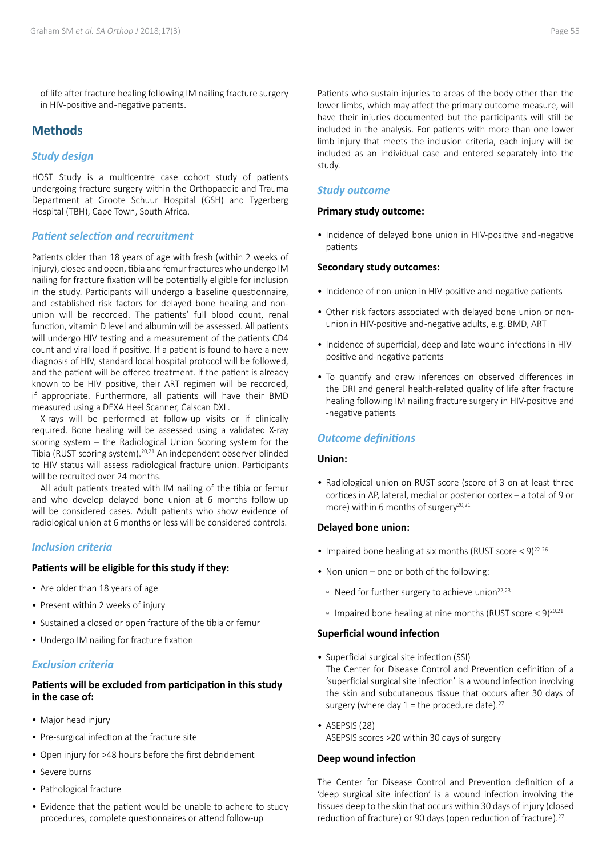of life after fracture healing following IM nailing fracture surgery in HIV-positive and -negative patients.

## **Methods**

#### *Study design*

HOST Study is a multicentre case cohort study of patients undergoing fracture surgery within the Orthopaedic and Trauma Department at Groote Schuur Hospital (GSH) and Tygerberg Hospital (TBH), Cape Town, South Africa.

#### *Patient selection and recruitment*

Patients older than 18 years of age with fresh (within 2 weeks of injury), closed and open, tibia and femur fractures who undergo IM nailing for fracture fixation will be potentially eligible for inclusion in the study. Participants will undergo a baseline questionnaire, and established risk factors for delayed bone healing and nonunion will be recorded. The patients' full blood count, renal function, vitamin D level and albumin will be assessed. All patients will undergo HIV testing and a measurement of the patients CD4 count and viral load if positive. If a patient is found to have a new diagnosis of HIV, standard local hospital protocol will be followed, and the patient will be offered treatment. If the patient is already known to be HIV positive, their ART regimen will be recorded, if appropriate. Furthermore, all patients will have their BMD measured using a DEXA Heel Scanner, Calscan DXL.

X-rays will be performed at follow-up visits or if clinically required. Bone healing will be assessed using a validated X-ray scoring system – the Radiological Union Scoring system for the Tibia (RUST scoring system).20,21 An independent observer blinded to HIV status will assess radiological fracture union. Participants will be recruited over 24 months.

All adult patients treated with IM nailing of the tibia or femur and who develop delayed bone union at 6 months follow-up will be considered cases. Adult patients who show evidence of radiological union at 6 months or less will be considered controls.

#### *Inclusion criteria*

#### **Patients will be eligible for this study if they:**

- Are older than 18 years of age
- Present within 2 weeks of injury
- Sustained a closed or open fracture of the tibia or femur
- Undergo IM nailing for fracture fixation

#### *Exclusion criteria*

#### **Patients will be excluded from participation in this study in the case of:**

- Major head injury
- Pre-surgical infection at the fracture site
- Open injury for >48 hours before the first debridement
- Severe burns
- Pathological fracture
- Evidence that the patient would be unable to adhere to study procedures, complete questionnaires or attend follow-up

Patients who sustain injuries to areas of the body other than the lower limbs, which may affect the primary outcome measure, will have their injuries documented but the participants will still be included in the analysis. For patients with more than one lower limb injury that meets the inclusion criteria, each injury will be included as an individual case and entered separately into the study.

#### *Study outcome*

#### **Primary study outcome:**

• Incidence of delayed bone union in HIV-positive and -negative patients

#### **Secondary study outcomes:**

- Incidence of non-union in HIV-positive and -negative patients
- Other risk factors associated with delayed bone union or nonunion in HIV-positive and -negative adults, e.g. BMD, ART
- Incidence of superficial, deep and late wound infections in HIVpositive and -negative patients
- To quantify and draw inferences on observed differences in the DRI and general health-related quality of life after fracture healing following IM nailing fracture surgery in HIV-positive and -negative patients

#### *Outcome definitions*

#### **Union:**

• Radiological union on RUST score (score of 3 on at least three cortices in AP, lateral, medial or posterior cortex – a total of 9 or more) within 6 months of surgery<sup>20,21</sup>

#### **Delayed bone union:**

- Impaired bone healing at six months (RUST score  $\leq$  9)<sup>22-26</sup>
- Non-union one or both of the following:
	- Need for further surgery to achieve union22,23
	- **Impaired bone healing at nine months (RUST score < 9)**<sup>20,21</sup>

#### **Superficial wound infection**

- Superficial surgical site infection (SSI)
- The Center for Disease Control and Prevention definition of a 'superficial surgical site infection' is a wound infection involving the skin and subcutaneous tissue that occurs after 30 days of surgery (where day  $1$  = the procedure date).<sup>27</sup>
- ASEPSIS (28) ASEPSIS scores >20 within 30 days of surgery

#### **Deep wound infection**

The Center for Disease Control and Prevention definition of a 'deep surgical site infection' is a wound infection involving the tissues deep to the skin that occurs within 30 days of injury (closed reduction of fracture) or 90 days (open reduction of fracture).<sup>27</sup>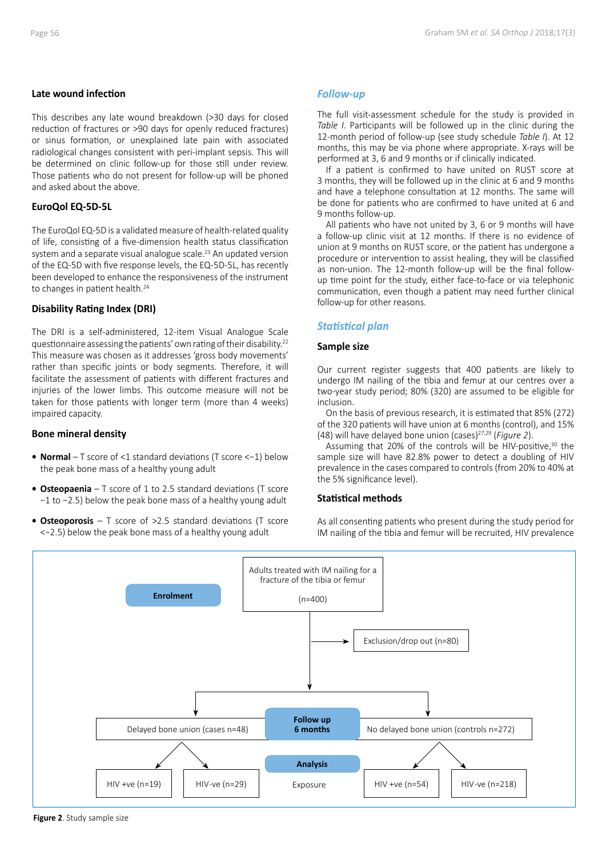#### **Late wound infection**

This describes any late wound breakdown (>30 days for closed reduction of fractures or >90 days for openly reduced fractures) or sinus formation, or unexplained late pain with associated radiological changes consistent with peri-implant sepsis. This will be determined on clinic follow-up for those still under review. Those patients who do not present for follow-up will be phoned and asked about the above.

#### **EuroQol EQ-5D-5L**

The EuroQol EQ-5D is a validated measure of health-related quality of life, consisting of a five-dimension health status classification system and a separate visual analogue scale.<sup>23</sup> An updated version of the EQ-5D with five response levels, the EQ-5D-5L, has recently been developed to enhance the responsiveness of the instrument to changes in patient health.<sup>24</sup>

#### **Disability Rating Index (DRI)**

The DRI is a self-administered, 12-item Visual Analogue Scale questionnaire assessing the patients' own rating of their disability.22 This measure was chosen as it addresses 'gross body movements' rather than specific joints or body segments. Therefore, it will facilitate the assessment of patients with different fractures and injuries of the lower limbs. This outcome measure will not be taken for those patients with longer term (more than 4 weeks) impaired capacity.

#### **Bone mineral density**

- **• Normal**  T score of <1 standard deviations (T score <−1) below the peak bone mass of a healthy young adult
- **• Osteopaenia**  T score of 1 to 2.5 standard deviations (T score −1 to −2.5) below the peak bone mass of a healthy young adult
- **• Osteoporosis**  T score of >2.5 standard deviations (T score <−2.5) below the peak bone mass of a healthy young adult

#### *Follow-up*

The full visit-assessment schedule for the study is provided in *Table I*. Participants will be followed up in the clinic during the 12-month period of follow-up (see study schedule *Table I*). At 12 months, this may be via phone where appropriate. X-rays will be performed at 3, 6 and 9 months or if clinically indicated.

If a patient is confirmed to have united on RUST score at 3 months, they will be followed up in the clinic at 6 and 9 months and have a telephone consultation at 12 months. The same will be done for patients who are confirmed to have united at 6 and 9 months follow-up.

All patients who have not united by 3, 6 or 9 months will have a follow-up clinic visit at 12 months. If there is no evidence of union at 9 months on RUST score, or the patient has undergone a procedure or intervention to assist healing, they will be classified as non-union. The 12-month follow-up will be the final followup time point for the study, either face-to-face or via telephonic communication, even though a patient may need further clinical follow-up for other reasons.

#### *Statistical plan*

#### **Sample size**

Our current register suggests that 400 patients are likely to undergo IM nailing of the tibia and femur at our centres over a two-year study period; 80% (320) are assumed to be eligible for inclusion.

On the basis of previous research, it is estimated that 85% (272) of the 320 patients will have union at 6 months (control), and 15% (48) will have delayed bone union (cases)27,29 (*Figure 2*).

Assuming that 20% of the controls will be HIV-positive, $30$  the sample size will have 82.8% power to detect a doubling of HIV prevalence in the cases compared to controls (from 20% to 40% at the 5% significance level).

#### **Statistical methods**

As all consenting patients who present during the study period for IM nailing of the tibia and femur will be recruited, HIV prevalence

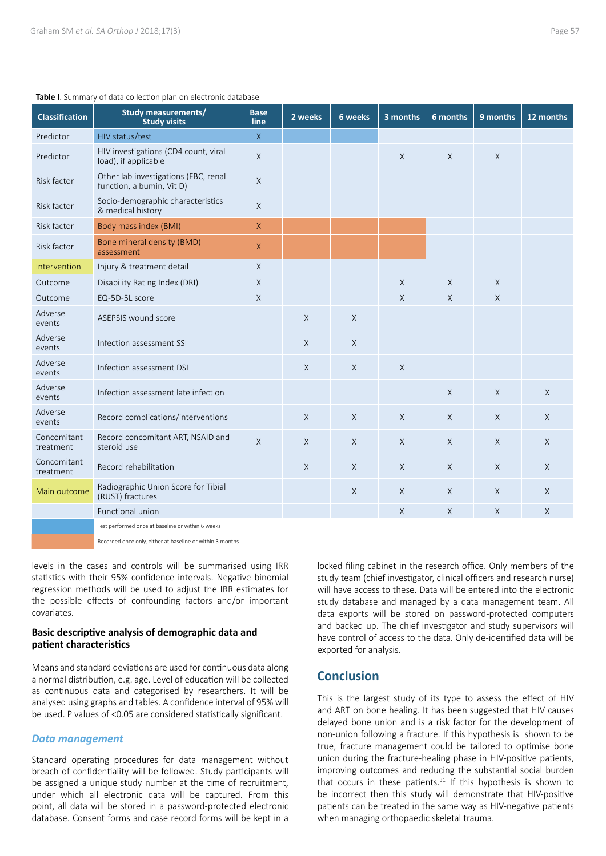| <b>Table 1.</b> Suffillery of data conection plan on electronic database |                                                                   |                     |          |         |              |             |              |              |
|--------------------------------------------------------------------------|-------------------------------------------------------------------|---------------------|----------|---------|--------------|-------------|--------------|--------------|
| <b>Classification</b>                                                    | <b>Study measurements/</b><br><b>Study visits</b>                 | <b>Base</b><br>line | 2 weeks  | 6 weeks | 3 months     | 6 months    | 9 months     | 12 months    |
| Predictor                                                                | HIV status/test                                                   | $\overline{X}$      |          |         |              |             |              |              |
| Predictor                                                                | HIV investigations (CD4 count, viral<br>load), if applicable      | $\mathsf{X}$        |          |         | $\chi$       | $\chi$      | $\chi$       |              |
| Risk factor                                                              | Other lab investigations (FBC, renal<br>function, albumin, Vit D) | $\times$            |          |         |              |             |              |              |
| Risk factor                                                              | Socio-demographic characteristics<br>& medical history            | $\mathsf X$         |          |         |              |             |              |              |
| Risk factor                                                              | Body mass index (BMI)                                             | $\mathsf{X}$        |          |         |              |             |              |              |
| Risk factor                                                              | Bone mineral density (BMD)<br>assessment                          | $\mathsf{X}$        |          |         |              |             |              |              |
| Intervention                                                             | Injury & treatment detail                                         | $\times$            |          |         |              |             |              |              |
| Outcome                                                                  | Disability Rating Index (DRI)                                     | $\chi$              |          |         | X            | $\chi$      | X            |              |
| Outcome                                                                  | EQ-5D-5L score                                                    | $\times$            |          |         | $\mathsf{X}$ | X           | X            |              |
| Adverse<br>events                                                        | ASEPSIS wound score                                               |                     | $\times$ | X       |              |             |              |              |
| Adverse<br>events                                                        | Infection assessment SSI                                          |                     | $\chi$   | X       |              |             |              |              |
| Adverse<br>events                                                        | Infection assessment DSI                                          |                     | $\chi$   | X       | $\sf X$      |             |              |              |
| Adverse<br>events                                                        | Infection assessment late infection                               |                     |          |         |              | $\sf X$     | $\chi$       | $\chi$       |
| Adverse<br>events                                                        | Record complications/interventions                                |                     | $\chi$   | X       | $\mathsf{X}$ | $\times$    | $\mathsf{X}$ | $\mathsf{X}$ |
| Concomitant<br>treatment                                                 | Record concomitant ART, NSAID and<br>steroid use                  | $\mathsf{X}$        | $\times$ | X       | $\mathsf{X}$ | $\mathsf X$ | $\mathsf{X}$ | $\mathsf{X}$ |
| Concomitant<br>treatment                                                 | Record rehabilitation                                             |                     | $\chi$   | X       | $\chi$       | $\chi$      | $\chi$       | $\chi$       |
| Main outcome                                                             | Radiographic Union Score for Tibial<br>(RUST) fractures           |                     |          | X       | $\mathsf{X}$ | $\times$    | $\mathsf{X}$ | $\chi$       |
|                                                                          | Functional union                                                  |                     |          |         | $\mathsf{X}$ | $\times$    | X            | X            |
|                                                                          | Test performed once at baseline or within 6 weeks                 |                     |          |         |              |             |              |              |

#### **Table I**. Summary of data collection plan on electronic database

Recorded once only, either at baseline or within 3 months

levels in the cases and controls will be summarised using IRR statistics with their 95% confidence intervals. Negative binomial regression methods will be used to adjust the IRR estimates for the possible effects of confounding factors and/or important covariates.

#### **Basic descriptive analysis of demographic data and patient characteristics**

Means and standard deviations are used for continuous data along a normal distribution, e.g. age. Level of education will be collected as continuous data and categorised by researchers. It will be analysed using graphs and tables. A confidence interval of 95% will be used. P values of <0.05 are considered statistically significant.

#### *Data management*

Standard operating procedures for data management without breach of confidentiality will be followed. Study participants will be assigned a unique study number at the time of recruitment, under which all electronic data will be captured. From this point, all data will be stored in a password-protected electronic database. Consent forms and case record forms will be kept in a

locked filing cabinet in the research office. Only members of the study team (chief investigator, clinical officers and research nurse) will have access to these. Data will be entered into the electronic study database and managed by a data management team. All data exports will be stored on password-protected computers and backed up. The chief investigator and study supervisors will have control of access to the data. Only de-identified data will be exported for analysis.

## **Conclusion**

This is the largest study of its type to assess the effect of HIV and ART on bone healing. It has been suggested that HIV causes delayed bone union and is a risk factor for the development of non-union following a fracture. If this hypothesis is shown to be true, fracture management could be tailored to optimise bone union during the fracture-healing phase in HIV-positive patients, improving outcomes and reducing the substantial social burden that occurs in these patients. $31$  If this hypothesis is shown to be incorrect then this study will demonstrate that HIV-positive patients can be treated in the same way as HIV-negative patients when managing orthopaedic skeletal trauma.